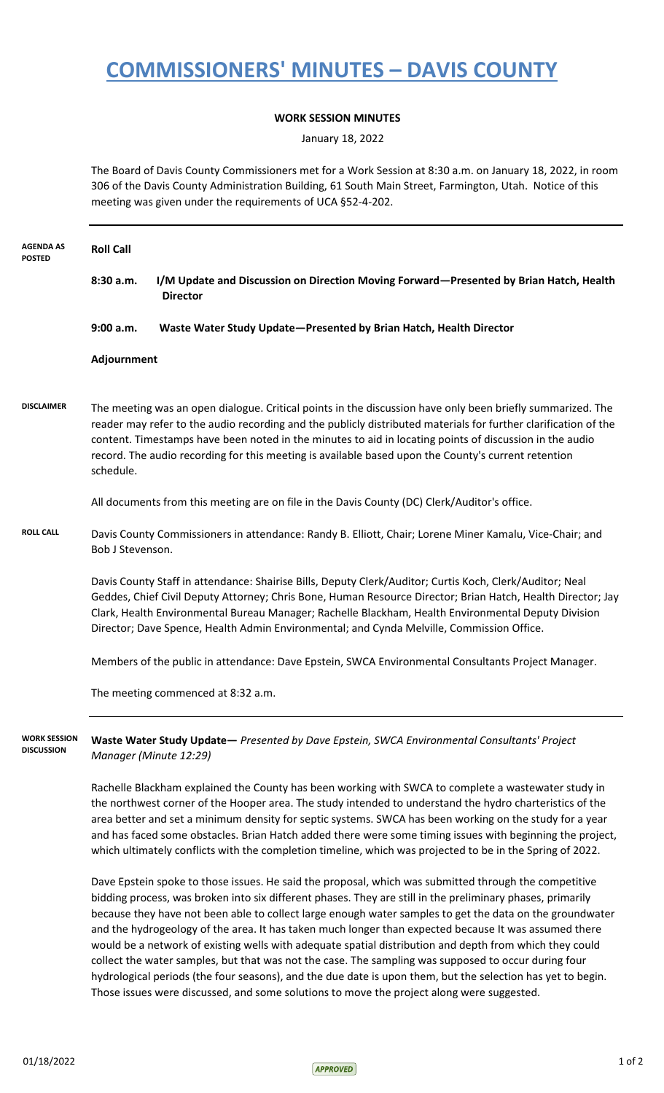## **COMMISSIONERS' MINUTES – DAVIS COUNTY**

## **WORK SESSION MINUTES**

January 18, 2022

The Board of Davis County Commissioners met for a Work Session at 8:30 a.m. on January 18, 2022, in room 306 of the Davis County Administration Building, 61 South Main Street, Farmington, Utah. Notice of this meeting was given under the requirements of UCA §52-4-202.

| <b>AGENDA AS</b><br><b>POSTED</b>        | <b>Roll Call</b>                                                                                                                                                                                                                                                                                                                                                                                                                                                                                                                                     |                                                                                                                                                                                                                                                                                                                                                                                                                                                                                                                                                     |  |
|------------------------------------------|------------------------------------------------------------------------------------------------------------------------------------------------------------------------------------------------------------------------------------------------------------------------------------------------------------------------------------------------------------------------------------------------------------------------------------------------------------------------------------------------------------------------------------------------------|-----------------------------------------------------------------------------------------------------------------------------------------------------------------------------------------------------------------------------------------------------------------------------------------------------------------------------------------------------------------------------------------------------------------------------------------------------------------------------------------------------------------------------------------------------|--|
|                                          | 8:30 a.m.                                                                                                                                                                                                                                                                                                                                                                                                                                                                                                                                            | I/M Update and Discussion on Direction Moving Forward-Presented by Brian Hatch, Health<br><b>Director</b>                                                                                                                                                                                                                                                                                                                                                                                                                                           |  |
|                                          | 9:00 a.m.                                                                                                                                                                                                                                                                                                                                                                                                                                                                                                                                            | Waste Water Study Update-Presented by Brian Hatch, Health Director                                                                                                                                                                                                                                                                                                                                                                                                                                                                                  |  |
|                                          | Adjournment                                                                                                                                                                                                                                                                                                                                                                                                                                                                                                                                          |                                                                                                                                                                                                                                                                                                                                                                                                                                                                                                                                                     |  |
| <b>DISCLAIMER</b>                        | schedule.                                                                                                                                                                                                                                                                                                                                                                                                                                                                                                                                            | The meeting was an open dialogue. Critical points in the discussion have only been briefly summarized. The<br>reader may refer to the audio recording and the publicly distributed materials for further clarification of the<br>content. Timestamps have been noted in the minutes to aid in locating points of discussion in the audio<br>record. The audio recording for this meeting is available based upon the County's current retention<br>All documents from this meeting are on file in the Davis County (DC) Clerk/Auditor's office.     |  |
|                                          |                                                                                                                                                                                                                                                                                                                                                                                                                                                                                                                                                      |                                                                                                                                                                                                                                                                                                                                                                                                                                                                                                                                                     |  |
| <b>ROLL CALL</b>                         |                                                                                                                                                                                                                                                                                                                                                                                                                                                                                                                                                      | Davis County Commissioners in attendance: Randy B. Elliott, Chair; Lorene Miner Kamalu, Vice-Chair; and<br>Bob J Stevenson.                                                                                                                                                                                                                                                                                                                                                                                                                         |  |
|                                          | Davis County Staff in attendance: Shairise Bills, Deputy Clerk/Auditor; Curtis Koch, Clerk/Auditor; Neal<br>Geddes, Chief Civil Deputy Attorney; Chris Bone, Human Resource Director; Brian Hatch, Health Director; Jay<br>Clark, Health Environmental Bureau Manager; Rachelle Blackham, Health Environmental Deputy Division<br>Director; Dave Spence, Health Admin Environmental; and Cynda Melville, Commission Office.                                                                                                                          |                                                                                                                                                                                                                                                                                                                                                                                                                                                                                                                                                     |  |
|                                          |                                                                                                                                                                                                                                                                                                                                                                                                                                                                                                                                                      | Members of the public in attendance: Dave Epstein, SWCA Environmental Consultants Project Manager.                                                                                                                                                                                                                                                                                                                                                                                                                                                  |  |
|                                          |                                                                                                                                                                                                                                                                                                                                                                                                                                                                                                                                                      | The meeting commenced at 8:32 a.m.                                                                                                                                                                                                                                                                                                                                                                                                                                                                                                                  |  |
| <b>WORK SESSION</b><br><b>DISCUSSION</b> | Manager (Minute 12:29)                                                                                                                                                                                                                                                                                                                                                                                                                                                                                                                               | Waste Water Study Update - Presented by Dave Epstein, SWCA Environmental Consultants' Project                                                                                                                                                                                                                                                                                                                                                                                                                                                       |  |
|                                          | Rachelle Blackham explained the County has been working with SWCA to complete a wastewater study in<br>the northwest corner of the Hooper area. The study intended to understand the hydro charteristics of the<br>area better and set a minimum density for septic systems. SWCA has been working on the study for a year<br>and has faced some obstacles. Brian Hatch added there were some timing issues with beginning the project,<br>which ultimately conflicts with the completion timeline, which was projected to be in the Spring of 2022. |                                                                                                                                                                                                                                                                                                                                                                                                                                                                                                                                                     |  |
|                                          |                                                                                                                                                                                                                                                                                                                                                                                                                                                                                                                                                      | Dave Epstein spoke to those issues. He said the proposal, which was submitted through the competitive<br>bidding process, was broken into six different phases. They are still in the preliminary phases, primarily<br>because they have not been able to collect large enough water samples to get the data on the groundwater<br>and the hydrogeology of the area. It has taken much longer than expected because It was assumed there<br>would be a network of existing wells with adequate spatial distribution and depth from which they could |  |

would be a network of existing wells with adequate spatial distribution and depth from which they could collect the water samples, but that was not the case. The sampling was supposed to occur during four hydrological periods (the four seasons), and the due date is upon them, but the selection has yet to begin. Those issues were discussed, and some solutions to move the project along were suggested.